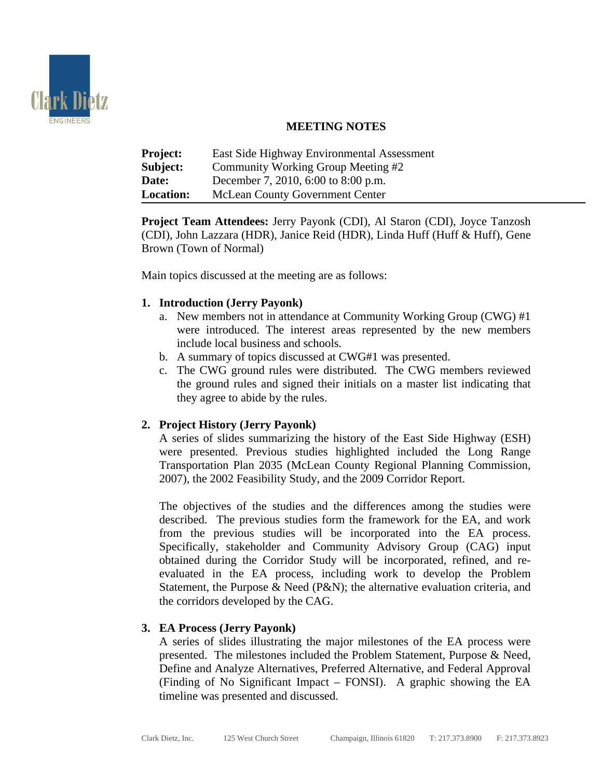

# **MEETING NOTES**

| <b>Project:</b>  | East Side Highway Environmental Assessment |
|------------------|--------------------------------------------|
| Subject:         | Community Working Group Meeting #2         |
| Date:            | December 7, 2010, 6:00 to 8:00 p.m.        |
| <b>Location:</b> | <b>McLean County Government Center</b>     |

**Project Team Attendees:** Jerry Payonk (CDI), Al Staron (CDI), Joyce Tanzosh (CDI), John Lazzara (HDR), Janice Reid (HDR), Linda Huff (Huff & Huff), Gene Brown (Town of Normal)

Main topics discussed at the meeting are as follows:

## **1. Introduction (Jerry Payonk)**

- a. New members not in attendance at Community Working Group (CWG) #1 were introduced. The interest areas represented by the new members include local business and schools.
- b. A summary of topics discussed at CWG#1 was presented.
- c. The CWG ground rules were distributed. The CWG members reviewed the ground rules and signed their initials on a master list indicating that they agree to abide by the rules.

## **2. Project History (Jerry Payonk)**

A series of slides summarizing the history of the East Side Highway (ESH) were presented. Previous studies highlighted included the Long Range Transportation Plan 2035 (McLean County Regional Planning Commission, 2007), the 2002 Feasibility Study, and the 2009 Corridor Report.

The objectives of the studies and the differences among the studies were described. The previous studies form the framework for the EA, and work from the previous studies will be incorporated into the EA process. Specifically, stakeholder and Community Advisory Group (CAG) input obtained during the Corridor Study will be incorporated, refined, and reevaluated in the EA process, including work to develop the Problem Statement, the Purpose & Need (P&N); the alternative evaluation criteria, and the corridors developed by the CAG.

## **3. EA Process (Jerry Payonk)**

A series of slides illustrating the major milestones of the EA process were presented. The milestones included the Problem Statement, Purpose & Need, Define and Analyze Alternatives, Preferred Alternative, and Federal Approval (Finding of No Significant Impact – FONSI). A graphic showing the EA timeline was presented and discussed.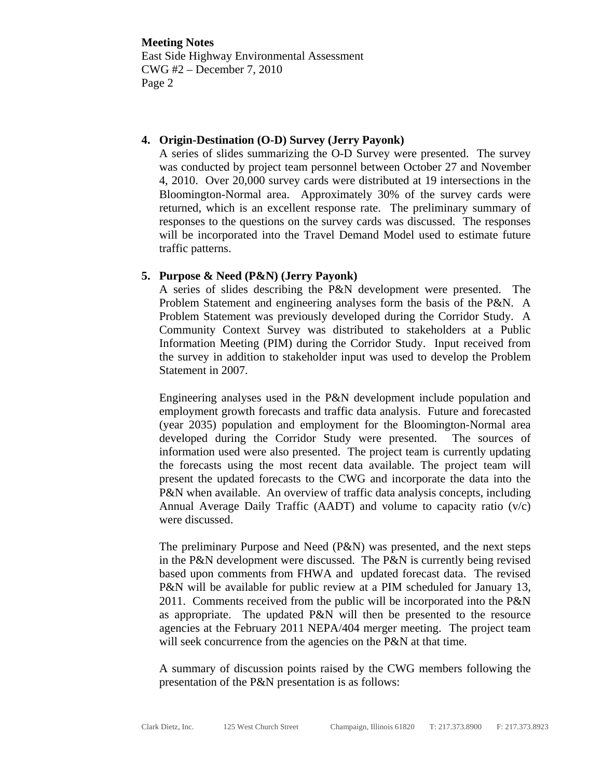**Meeting Notes** East Side Highway Environmental Assessment CWG #2 – December 7, 2010 Page 2

#### **4. Origin-Destination (O-D) Survey (Jerry Payonk)**

A series of slides summarizing the O-D Survey were presented. The survey was conducted by project team personnel between October 27 and November 4, 2010. Over 20,000 survey cards were distributed at 19 intersections in the Bloomington-Normal area. Approximately 30% of the survey cards were returned, which is an excellent response rate. The preliminary summary of responses to the questions on the survey cards was discussed. The responses will be incorporated into the Travel Demand Model used to estimate future traffic patterns.

## **5. Purpose & Need (P&N) (Jerry Payonk)**

A series of slides describing the P&N development were presented. The Problem Statement and engineering analyses form the basis of the P&N. A Problem Statement was previously developed during the Corridor Study. A Community Context Survey was distributed to stakeholders at a Public Information Meeting (PIM) during the Corridor Study. Input received from the survey in addition to stakeholder input was used to develop the Problem Statement in 2007.

Engineering analyses used in the P&N development include population and employment growth forecasts and traffic data analysis. Future and forecasted (year 2035) population and employment for the Bloomington-Normal area developed during the Corridor Study were presented. The sources of information used were also presented. The project team is currently updating the forecasts using the most recent data available. The project team will present the updated forecasts to the CWG and incorporate the data into the P&N when available. An overview of traffic data analysis concepts, including Annual Average Daily Traffic (AADT) and volume to capacity ratio  $(v/c)$ were discussed.

The preliminary Purpose and Need (P&N) was presented, and the next steps in the P&N development were discussed. The P&N is currently being revised based upon comments from FHWA and updated forecast data. The revised P&N will be available for public review at a PIM scheduled for January 13, 2011. Comments received from the public will be incorporated into the P&N as appropriate. The updated P&N will then be presented to the resource agencies at the February 2011 NEPA/404 merger meeting. The project team will seek concurrence from the agencies on the P&N at that time.

A summary of discussion points raised by the CWG members following the presentation of the P&N presentation is as follows: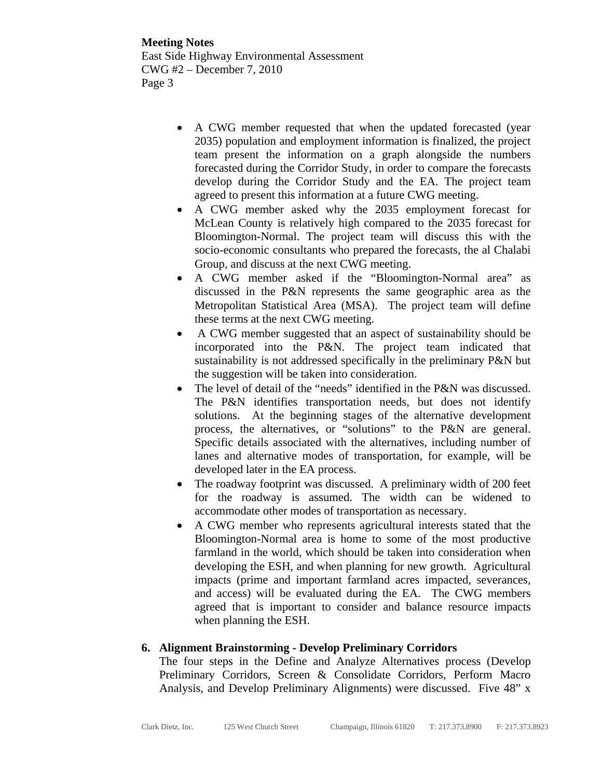**Meeting Notes** East Side Highway Environmental Assessment CWG #2 – December 7, 2010 Page 3

- A CWG member requested that when the updated forecasted (year 2035) population and employment information is finalized, the project team present the information on a graph alongside the numbers forecasted during the Corridor Study, in order to compare the forecasts develop during the Corridor Study and the EA. The project team agreed to present this information at a future CWG meeting.
- A CWG member asked why the 2035 employment forecast for McLean County is relatively high compared to the 2035 forecast for Bloomington-Normal. The project team will discuss this with the socio-economic consultants who prepared the forecasts, the al Chalabi Group, and discuss at the next CWG meeting.
- A CWG member asked if the "Bloomington-Normal area" as discussed in the P&N represents the same geographic area as the Metropolitan Statistical Area (MSA). The project team will define these terms at the next CWG meeting.
- A CWG member suggested that an aspect of sustainability should be incorporated into the P&N. The project team indicated that sustainability is not addressed specifically in the preliminary P&N but the suggestion will be taken into consideration.
- The level of detail of the "needs" identified in the P&N was discussed. The P&N identifies transportation needs, but does not identify solutions. At the beginning stages of the alternative development process, the alternatives, or "solutions" to the P&N are general. Specific details associated with the alternatives, including number of lanes and alternative modes of transportation, for example, will be developed later in the EA process.
- The roadway footprint was discussed. A preliminary width of 200 feet for the roadway is assumed. The width can be widened to accommodate other modes of transportation as necessary.
- A CWG member who represents agricultural interests stated that the Bloomington-Normal area is home to some of the most productive farmland in the world, which should be taken into consideration when developing the ESH, and when planning for new growth. Agricultural impacts (prime and important farmland acres impacted, severances, and access) will be evaluated during the EA. The CWG members agreed that is important to consider and balance resource impacts when planning the ESH.

## **6. Alignment Brainstorming - Develop Preliminary Corridors**

The four steps in the Define and Analyze Alternatives process (Develop Preliminary Corridors, Screen & Consolidate Corridors, Perform Macro Analysis, and Develop Preliminary Alignments) were discussed. Five 48" x